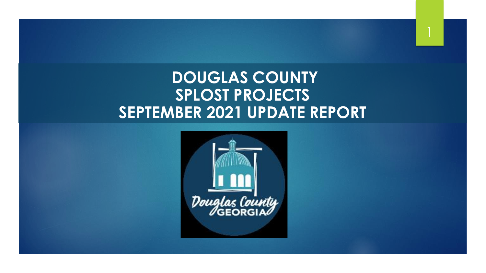# **DOUGLAS COUNTY SPLOST PROJECTS SEPTEMBER 2021 UPDATE REPORT**

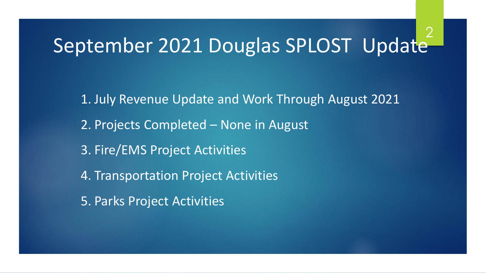#### September 2021 Douglas SPLOST Update 2

1. July Revenue Update and Work Through August 2021 2. Projects Completed – None in August 3. Fire/EMS Project Activities 4. Transportation Project Activities 5. Parks Project Activities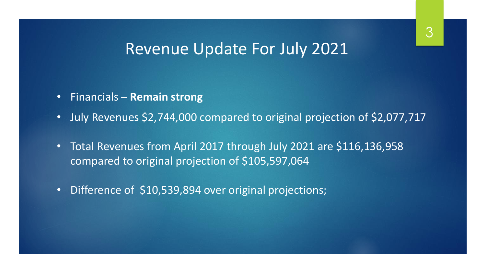## Revenue Update For July 2021

- Financials **Remain strong**
- July Revenues \$2,744,000 compared to original projection of \$2,077,717
- Total Revenues from April 2017 through July 2021 are \$116,136,958 compared to original projection of \$105,597,064
- Difference of \$10,539,894 over original projections;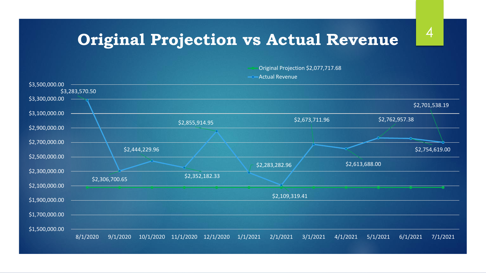# **Original Projection vs Actual Revenue**  $4^4$

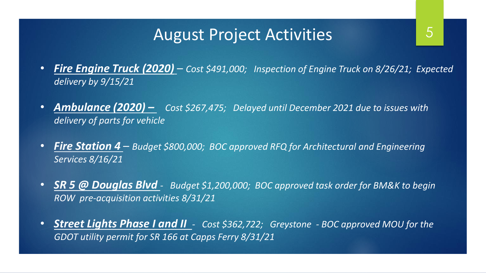## August Project Activities

- *Fire Engine Truck (2020) Cost \$491,000; Inspection of Engine Truck on 8/26/21; Expected delivery by 9/15/21*
- *Ambulance (2020) – Cost \$267,475; Delayed until December 2021 due to issues with delivery of parts for vehicle*
- *Fire Station 4 Budget \$800,000; BOC approved RFQ for Architectural and Engineering Services 8/16/21*
- *SR 5 @ Douglas Blvd - Budget \$1,200,000; BOC approved task order for BM&K to begin ROW pre-acquisition activities 8/31/21*
- *Street Lights Phase I and II - Cost \$362,722; Greystone - BOC approved MOU for the GDOT utility permit for SR 166 at Capps Ferry 8/31/21*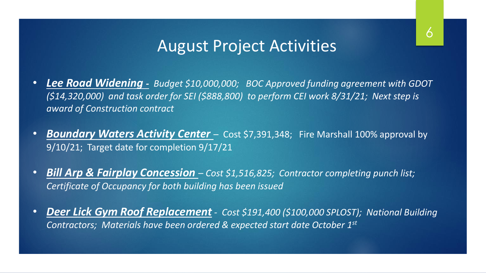## August Project Activities

- *Lee Road Widening - Budget \$10,000,000; BOC Approved funding agreement with GDOT (\$14,320,000) and task order for SEI (\$888,800) to perform CEI work 8/31/21; Next step is award of Construction contract*
- **Boundary Waters Activity Center** Cost \$7,391,348; Fire Marshall 100% approval by 9/10/21; Target date for completion 9/17/21
- *Bill Arp & Fairplay Concession Cost \$1,516,825; Contractor completing punch list; Certificate of Occupancy for both building has been issued*
- *Deer Lick Gym Roof Replacement - Cost \$191,400 (\$100,000 SPLOST); National Building Contractors; Materials have been ordered & expected start date October 1st*